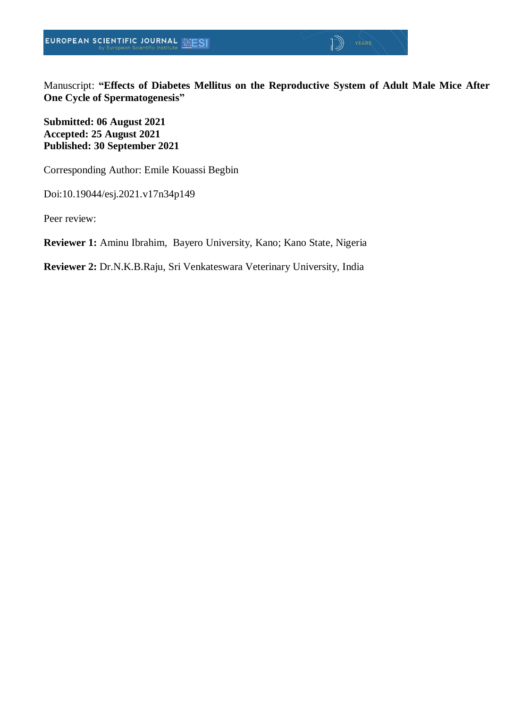Manuscript: **"Effects of Diabetes Mellitus on the Reproductive System of Adult Male Mice After One Cycle of Spermatogenesis"**

 $\sqrt{2}$ 

**Submitted: 06 August 2021 Accepted: 25 August 2021 Published: 30 September 2021**

Corresponding Author: Emile Kouassi Begbin

Doi:10.19044/esj.2021.v17n34p149

Peer review:

**Reviewer 1:** Aminu Ibrahim, Bayero University, Kano; Kano State, Nigeria

**Reviewer 2:** Dr.N.K.B.Raju, Sri Venkateswara Veterinary University, India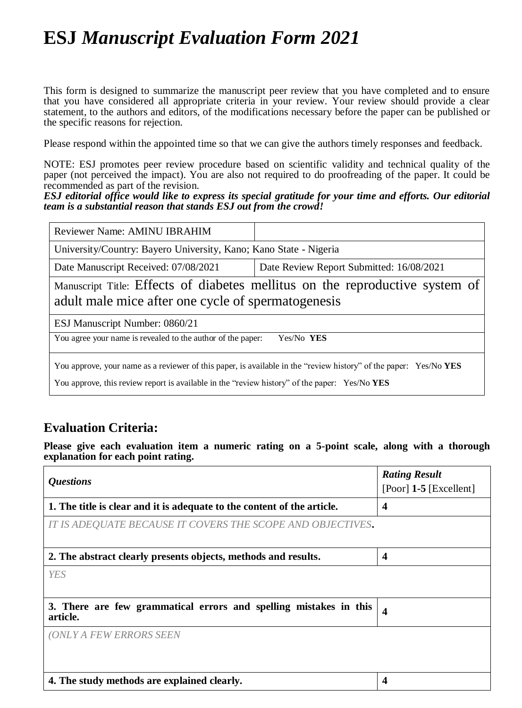# **ESJ** *Manuscript Evaluation Form 2021*

This form is designed to summarize the manuscript peer review that you have completed and to ensure that you have considered all appropriate criteria in your review. Your review should provide a clear statement, to the authors and editors, of the modifications necessary before the paper can be published or the specific reasons for rejection.

Please respond within the appointed time so that we can give the authors timely responses and feedback.

NOTE: ESJ promotes peer review procedure based on scientific validity and technical quality of the paper (not perceived the impact). You are also not required to do proofreading of the paper. It could be recommended as part of the revision.

*ESJ editorial office would like to express its special gratitude for your time and efforts. Our editorial team is a substantial reason that stands ESJ out from the crowd!* 

| Reviewer Name: AMINU IBRAHIM                                                                                                                                                                                       |                                          |  |
|--------------------------------------------------------------------------------------------------------------------------------------------------------------------------------------------------------------------|------------------------------------------|--|
| University/Country: Bayero University, Kano; Kano State - Nigeria                                                                                                                                                  |                                          |  |
| Date Manuscript Received: 07/08/2021                                                                                                                                                                               | Date Review Report Submitted: 16/08/2021 |  |
| Manuscript Title: Effects of diabetes mellitus on the reproductive system of<br>adult male mice after one cycle of spermatogenesis                                                                                 |                                          |  |
| ESJ Manuscript Number: 0860/21                                                                                                                                                                                     |                                          |  |
| You agree your name is revealed to the author of the paper:<br>Yes/No YES                                                                                                                                          |                                          |  |
| You approve, your name as a reviewer of this paper, is available in the "review history" of the paper: Yes/No YES<br>You approve, this review report is available in the "review history" of the paper: Yes/No YES |                                          |  |

### **Evaluation Criteria:**

**Please give each evaluation item a numeric rating on a 5-point scale, along with a thorough explanation for each point rating.**

| <i><b>Questions</b></i>                                                       | <b>Rating Result</b><br>[Poor] $1-5$ [Excellent] |  |
|-------------------------------------------------------------------------------|--------------------------------------------------|--|
| 1. The title is clear and it is adequate to the content of the article.       | $\boldsymbol{4}$                                 |  |
| IT IS ADEQUATE BECAUSE IT COVERS THE SCOPE AND OBJECTIVES.                    |                                                  |  |
| 2. The abstract clearly presents objects, methods and results.                | $\overline{\mathbf{4}}$                          |  |
| <b>YES</b>                                                                    |                                                  |  |
| 3. There are few grammatical errors and spelling mistakes in this<br>article. | $\overline{\mathbf{4}}$                          |  |
| <b>(ONLY A FEW ERRORS SEEN</b>                                                |                                                  |  |
| 4. The study methods are explained clearly.                                   | 4                                                |  |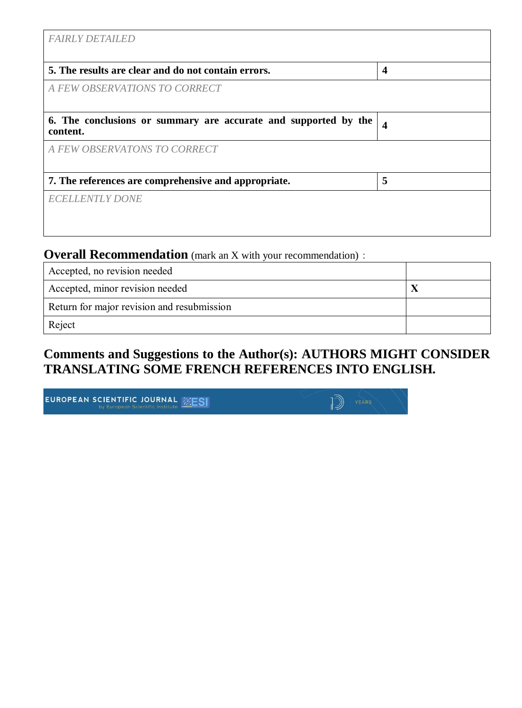| <b>FAIRLY DETAILED</b>                                                      |                         |
|-----------------------------------------------------------------------------|-------------------------|
| 5. The results are clear and do not contain errors.                         | $\overline{\mathbf{4}}$ |
| A FEW OBSERVATIONS TO CORRECT                                               |                         |
| 6. The conclusions or summary are accurate and supported by the<br>content. | $\overline{\mathbf{4}}$ |
| A FEW OBSERVATONS TO CORRECT                                                |                         |
| 7. The references are comprehensive and appropriate.                        | 5                       |
| <b>ECELLENTLY DONE</b>                                                      |                         |
|                                                                             |                         |

### **Overall Recommendation** (mark an X with your recommendation):

| Accepted, no revision needed               |  |
|--------------------------------------------|--|
| Accepted, minor revision needed            |  |
| Return for major revision and resubmission |  |
| Reject                                     |  |

### **Comments and Suggestions to the Author(s): AUTHORS MIGHT CONSIDER TRANSLATING SOME FRENCH REFERENCES INTO ENGLISH.**

| <b>EUROPEAN SCIENTIFIC JOURNAL EXESI</b> |  |
|------------------------------------------|--|
|                                          |  |

| $\ket{\mathbb{D}}$ | YEARS |
|--------------------|-------|
|                    |       |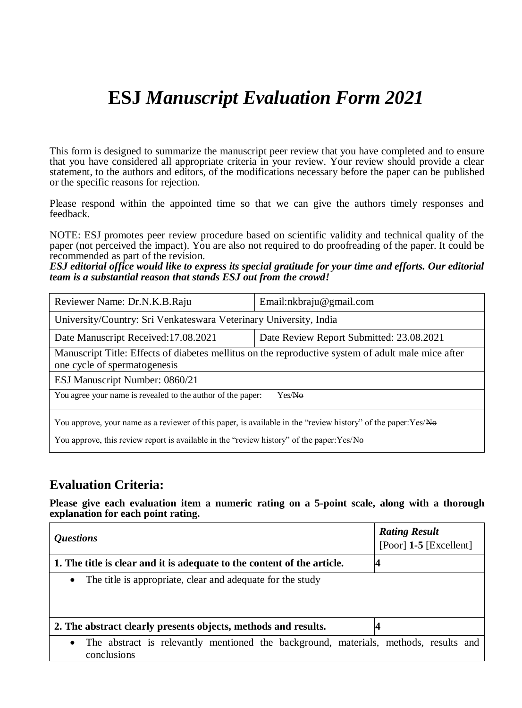# **ESJ** *Manuscript Evaluation Form 2021*

This form is designed to summarize the manuscript peer review that you have completed and to ensure that you have considered all appropriate criteria in your review. Your review should provide a clear statement, to the authors and editors, of the modifications necessary before the paper can be published or the specific reasons for rejection.

Please respond within the appointed time so that we can give the authors timely responses and feedback.

NOTE: ESJ promotes peer review procedure based on scientific validity and technical quality of the paper (not perceived the impact). You are also not required to do proofreading of the paper. It could be recommended as part of the revision.

*ESJ editorial office would like to express its special gratitude for your time and efforts. Our editorial team is a substantial reason that stands ESJ out from the crowd!*

| Reviewer Name: Dr.N.K.B.Raju                                                                                                       | Email:nkbraju@gmail.com                  |  |
|------------------------------------------------------------------------------------------------------------------------------------|------------------------------------------|--|
| University/Country: Sri Venkateswara Veterinary University, India                                                                  |                                          |  |
| Date Manuscript Received: 17.08.2021                                                                                               | Date Review Report Submitted: 23.08.2021 |  |
| Manuscript Title: Effects of diabetes mellitus on the reproductive system of adult male mice after<br>one cycle of spermatogenesis |                                          |  |
| ESJ Manuscript Number: 0860/21                                                                                                     |                                          |  |
| You agree your name is revealed to the author of the paper:<br>Yes/Ne                                                              |                                          |  |
| You approve, your name as a reviewer of this paper, is available in the "review history" of the paper: Yes/No                      |                                          |  |
| You approve, this review report is available in the "review history" of the paper:Yes/Ho                                           |                                          |  |

#### **Evaluation Criteria:**

**Please give each evaluation item a numeric rating on a 5-point scale, along with a thorough explanation for each point rating.**

| <i><b>Questions</b></i>                                                                                          | <b>Rating Result</b><br>[Poor] $1-5$ [Excellent] |  |
|------------------------------------------------------------------------------------------------------------------|--------------------------------------------------|--|
| 1. The title is clear and it is adequate to the content of the article.                                          |                                                  |  |
| The title is appropriate, clear and adequate for the study<br>$\bullet$                                          |                                                  |  |
| 2. The abstract clearly presents objects, methods and results.                                                   |                                                  |  |
| The abstract is relevantly mentioned the background, materials, methods, results and<br>$\bullet$<br>conclusions |                                                  |  |